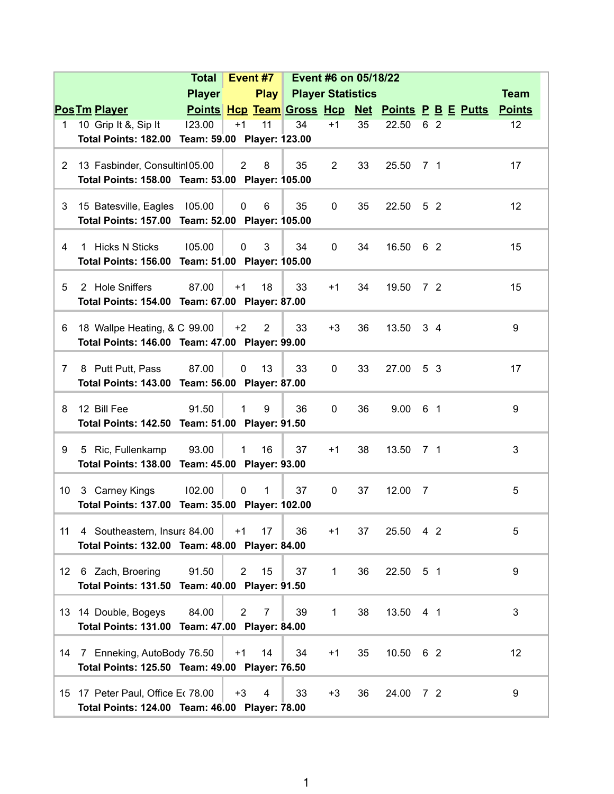|                       |                                                                                     | <b>Total</b>  | Event #7<br>Event #6 on 05/18/22 |      |                          |                |    |           |                |                                                  |               |  |
|-----------------------|-------------------------------------------------------------------------------------|---------------|----------------------------------|------|--------------------------|----------------|----|-----------|----------------|--------------------------------------------------|---------------|--|
|                       |                                                                                     | <b>Player</b> |                                  | Play | <b>Player Statistics</b> |                |    |           |                |                                                  | <b>Team</b>   |  |
|                       | <b>PosTm Player</b>                                                                 |               |                                  |      |                          |                |    |           |                | Points Hcp Team Gross Hcp Net Points P B E Putts | <b>Points</b> |  |
| 1.                    | 10 Grip It &, Sip It                                                                | 123.00        | $+1$                             | 11   | 34                       | $+1$           | 35 | 22.50     | 6 2            |                                                  | 12            |  |
|                       | Total Points: 182.00 Team: 59.00 Player: 123.00                                     |               |                                  |      |                          |                |    |           |                |                                                  |               |  |
|                       |                                                                                     |               |                                  |      |                          |                |    |           |                |                                                  |               |  |
| $\mathbf{2}^{\prime}$ | 13 Fasbinder, Consultin 05.00                                                       |               | $\overline{2}$                   | 8    | 35                       | $\overline{2}$ | 33 | 25.50     | 7 1            |                                                  | 17            |  |
|                       | Total Points: 158.00 Team: 53.00 Player: 105.00                                     |               |                                  |      |                          |                |    |           |                |                                                  |               |  |
| 3                     | 15 Batesville, Eagles                                                               | 105.00        | $\mathbf 0$                      | 6    | 35                       | 0              | 35 | 22.50     | 5 <sub>2</sub> |                                                  | 12            |  |
|                       | Total Points: 157.00 Team: 52.00 Player: 105.00                                     |               |                                  |      |                          |                |    |           |                |                                                  |               |  |
|                       |                                                                                     |               |                                  |      |                          |                |    |           |                |                                                  |               |  |
| 4                     | 1 Hicks N Sticks                                                                    | 105.00        | $\mathbf 0$                      | 3    | 34                       | 0              | 34 | 16.50     | 62             |                                                  | 15            |  |
|                       | Total Points: 156.00 Team: 51.00 Player: 105.00                                     |               |                                  |      |                          |                |    |           |                |                                                  |               |  |
| 5                     | 2 Hole Sniffers                                                                     | 87.00         | $+1$                             | 18   | 33                       | $+1$           | 34 | 19.50     | 7 <sup>2</sup> |                                                  | 15            |  |
|                       | Total Points: 154.00 Team: 67.00 Player: 87.00                                      |               |                                  |      |                          |                |    |           |                |                                                  |               |  |
|                       |                                                                                     |               |                                  |      |                          |                |    |           |                |                                                  |               |  |
| 6                     | 18 Wallpe Heating, & C 99.00                                                        |               | $+2$                             | 2    | 33                       | $+3$           | 36 | 13.50     | $3\quad 4$     |                                                  | 9             |  |
|                       | Total Points: 146.00 Team: 47.00 Player: 99.00                                      |               |                                  |      |                          |                |    |           |                |                                                  |               |  |
|                       |                                                                                     |               |                                  |      |                          |                |    |           |                |                                                  |               |  |
| 7                     | 8 Putt Putt, Pass                                                                   | 87.00         | 0                                | 13   | 33                       | 0              | 33 | 27.00     | 5 3            |                                                  | 17            |  |
|                       | Total Points: 143.00 Team: 56.00 Player: 87.00                                      |               |                                  |      |                          |                |    |           |                |                                                  |               |  |
| 8                     | 12 Bill Fee                                                                         | 91.50         | 1                                | 9    | 36                       | 0              | 36 | 9.00      | 6 1            |                                                  | 9             |  |
|                       | Total Points: 142.50 Team: 51.00 Player: 91.50                                      |               |                                  |      |                          |                |    |           |                |                                                  |               |  |
|                       |                                                                                     |               |                                  |      |                          |                |    |           |                |                                                  |               |  |
| 9                     | 5 Ric, Fullenkamp                                                                   | 93.00         | $\mathbf{1}$                     | 16   | 37                       | $+1$           | 38 | 13.50     | 7 1            |                                                  | 3             |  |
|                       | Total Points: 138.00 Team: 45.00 Player: 93.00                                      |               |                                  |      |                          |                |    |           |                |                                                  |               |  |
| 10                    | 3 Carney Kings                                                                      | 102.00        | $\mathbf 0$                      | 1    | 37                       | $\mathbf 0$    | 37 | 12.00     | $\overline{7}$ |                                                  | 5             |  |
|                       | Total Points: 137.00 Team: 35.00 Player: 102.00                                     |               |                                  |      |                          |                |    |           |                |                                                  |               |  |
|                       |                                                                                     |               |                                  |      |                          |                |    |           |                |                                                  |               |  |
| 11                    | 4 Southeastern, Insura 84.00                                                        |               | $+1$                             | 17   | 36                       | $+1$           | 37 | 25.50 4 2 |                |                                                  | 5             |  |
|                       | Total Points: 132.00 Team: 48.00 Player: 84.00                                      |               |                                  |      |                          |                |    |           |                |                                                  |               |  |
|                       |                                                                                     |               |                                  |      |                          |                |    |           |                |                                                  |               |  |
| 12                    | 6 Zach, Broering                                                                    | 91.50         | $\overline{2}$                   | 15   | 37                       | 1              | 36 | 22.50 5 1 |                |                                                  | 9             |  |
|                       | Total Points: 131.50 Team: 40.00 Player: 91.50                                      |               |                                  |      |                          |                |    |           |                |                                                  |               |  |
|                       | 13 14 Double, Bogeys                                                                | 84.00         | $\overline{2}$                   | 7    | 39                       | $\mathbf{1}$   | 38 | 13.50 4 1 |                |                                                  | 3             |  |
|                       | Total Points: 131.00 Team: 47.00 Player: 84.00                                      |               |                                  |      |                          |                |    |           |                |                                                  |               |  |
|                       |                                                                                     |               |                                  |      |                          |                |    |           |                |                                                  |               |  |
|                       | 14 7 Enneking, AutoBody 76.50                                                       |               | $+1$                             | 14   | 34                       | $+1$           | 35 | 10.50 6 2 |                |                                                  | 12            |  |
|                       | Total Points: 125.50 Team: 49.00 Player: 76.50                                      |               |                                  |      |                          |                |    |           |                |                                                  |               |  |
|                       |                                                                                     |               |                                  |      |                          |                |    |           |                |                                                  | 9             |  |
|                       | 15 17 Peter Paul, Office Et 78.00<br>Total Points: 124.00 Team: 46.00 Player: 78.00 |               | $+3$                             | 4    | 33                       | $+3$           | 36 | 24.00 7 2 |                |                                                  |               |  |
|                       |                                                                                     |               |                                  |      |                          |                |    |           |                |                                                  |               |  |